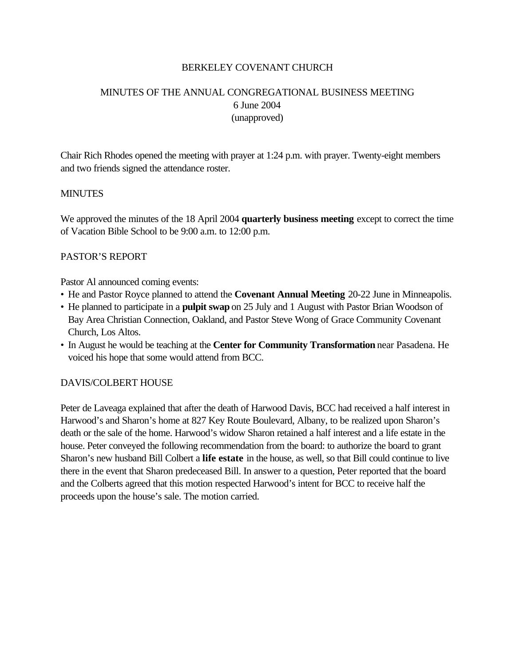### BERKELEY COVENANT CHURCH

# MINUTES OF THE ANNUAL CONGREGATIONAL BUSINESS MEETING 6 June 2004 (unapproved)

Chair Rich Rhodes opened the meeting with prayer at 1:24 p.m. with prayer. Twenty-eight members and two friends signed the attendance roster.

#### **MINUTES**

We approved the minutes of the 18 April 2004 **quarterly business meeting** except to correct the time of Vacation Bible School to be 9:00 a.m. to 12:00 p.m.

### PASTOR'S REPORT

Pastor Al announced coming events:

- He and Pastor Royce planned to attend the **Covenant Annual Meeting** 20-22 June in Minneapolis.
- He planned to participate in a **pulpit swap** on 25 July and 1 August with Pastor Brian Woodson of Bay Area Christian Connection, Oakland, and Pastor Steve Wong of Grace Community Covenant Church, Los Altos.
- In August he would be teaching at the **Center for Community Transformation** near Pasadena. He voiced his hope that some would attend from BCC.

### DAVIS/COLBERT HOUSE

Peter de Laveaga explained that after the death of Harwood Davis, BCC had received a half interest in Harwood's and Sharon's home at 827 Key Route Boulevard, Albany, to be realized upon Sharon's death or the sale of the home. Harwood's widow Sharon retained a half interest and a life estate in the house. Peter conveyed the following recommendation from the board: to authorize the board to grant Sharon's new husband Bill Colbert a **life estate** in the house, as well, so that Bill could continue to live there in the event that Sharon predeceased Bill. In answer to a question, Peter reported that the board and the Colberts agreed that this motion respected Harwood's intent for BCC to receive half the proceeds upon the house's sale. The motion carried.